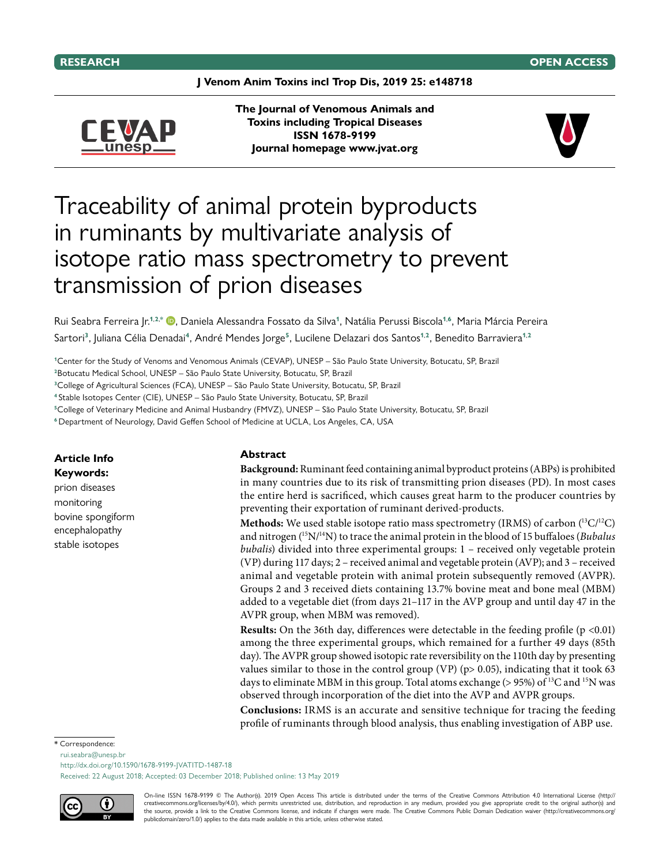**J Venom Anim Toxins incl Trop Dis, 2019 25: e148718**



**The Journal of Venomous Animals and Toxins including Tropical Diseases ISSN 1678-9199 Journal homepage [www.jvat.org](http://www.jvat.org)**



# Traceability of animal protein byproducts in ruminants by multivariate analysis of isotope ratio mass spectrometry to prevent transmission of prion diseases

Rui Seabra Ferreira Jr.**1**,**2**,**\*** , Daniela Alessandra Fossato da Silva**1**, Natália Perussi Biscola**1**,**6**, Maria Márcia Pereira Sartori**3**, Juliana Célia Denadai**4**, André Mendes Jorge**5**, Lucilene Delazari dos Santos**1**,**2**, Benedito Barraviera**1**,**<sup>2</sup>**

**<sup>1</sup>**Center for the Study of Venoms and Venomous Animals (CEVAP), UNESP – São Paulo State University, Botucatu, SP, Brazil

**<sup>2</sup>**Botucatu Medical School, UNESP – São Paulo State University, Botucatu, SP, Brazil

**<sup>3</sup>**College of Agricultural Sciences (FCA), UNESP – São Paulo State University, Botucatu, SP, Brazil

**<sup>4</sup>** Stable Isotopes Center (CIE), UNESP – São Paulo State University, Botucatu, SP, Brazil

**<sup>5</sup>**College of Veterinary Medicine and Animal Husbandry (FMVZ), UNESP – São Paulo State University, Botucatu, SP, Brazil

**<sup>6</sup>** Department of Neurology, David Geffen School of Medicine at UCLA, Los Angeles, CA, USA

## **Article Info Keywords:**

prion diseases monitoring bovine spongiform encephalopathy stable isotopes

### **Abstract**

**Background:** Ruminant feed containing animal byproduct proteins (ABPs) is prohibited in many countries due to its risk of transmitting prion diseases (PD). In most cases the entire herd is sacrificed, which causes great harm to the producer countries by preventing their exportation of ruminant derived-products.

**Methods:** We used stable isotope ratio mass spectrometry (IRMS) of carbon  $(^{13}C/^{12}C)$ and nitrogen (15N/14N) to trace the animal protein in the blood of 15 buffaloes (*Bubalus bubalis*) divided into three experimental groups: 1 – received only vegetable protein (VP) during 117 days; 2 – received animal and vegetable protein (AVP); and 3 – received animal and vegetable protein with animal protein subsequently removed (AVPR). Groups 2 and 3 received diets containing 13.7% bovine meat and bone meal (MBM) added to a vegetable diet (from days 21–117 in the AVP group and until day 47 in the AVPR group, when MBM was removed).

**Results:** On the 36th day, differences were detectable in the feeding profile  $(p \le 0.01)$ among the three experimental groups, which remained for a further 49 days (85th day). The AVPR group showed isotopic rate reversibility on the 110th day by presenting values similar to those in the control group (VP) ( $p$  > 0.05), indicating that it took 63 days to eliminate MBM in this group. Total atoms exchange ( $> 95\%$ ) of <sup>13</sup>C and <sup>15</sup>N was observed through incorporation of the diet into the AVP and AVPR groups.

**Conclusions:** IRMS is an accurate and sensitive technique for tracing the feeding profile of ruminants through blood analysis, thus enabling investigation of ABP use.

#### \* Correspondence:

rui.seabra@unesp.br

<http://dx.doi.org/10.1590/1678-9199-JVATITD-1487-18>

Received: 22 August 2018; Accepted: 03 December 2018; Published online: 13 May 2019



On-line ISSN 1678-9199 © The Author(s). 2019 Open Access This article is distributed under the terms of the Creative Commons Attribution 4.0 International License (http:// creativecommons.org/licenses/by/4.0/), which permits unrestricted use, distribution, and reproduction in any medium, provided you give appropriate credit to the original author(s) and the source, provide a link to the Creative Commons license, and indicate if changes were made. The Creative Commons Public Domain Dedication waiver (http://creativecommons.org/ publicdomain/zero/1.0/) applies to the data made available in this article, unless otherwise stated.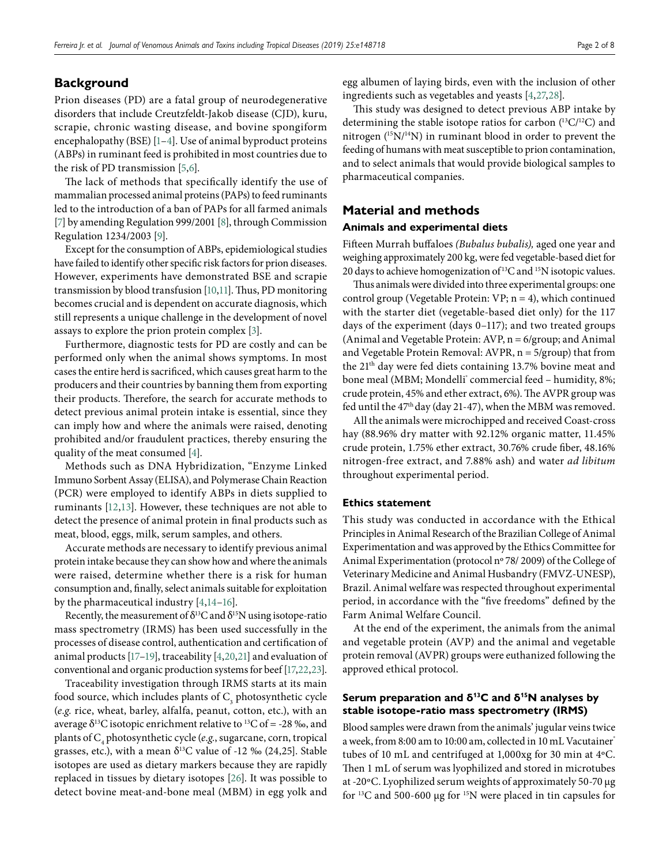# **Background**

Prion diseases (PD) are a fatal group of neurodegenerative disorders that include Creutzfeldt-Jakob disease (CJD), kuru, scrapie, chronic wasting disease, and bovine spongiform encephalopathy (BSE) [\[1](#page-6-0)–[4](#page-6-1)]. Use of animal byproduct proteins (ABPs) in ruminant feed is prohibited in most countries due to the risk of PD transmission [\[5](#page-6-2),[6](#page-6-3)].

The lack of methods that specifically identify the use of mammalian processed animal proteins (PAPs) to feed ruminants led to the introduction of a ban of PAPs for all farmed animals [\[7\]](#page-6-4) by amending Regulation 999/2001 [\[8](#page-6-5)], through Commission Regulation 1234/2003 [\[9](#page-6-6)].

Except for the consumption of ABPs, epidemiological studies have failed to identify other specific risk factors for prion diseases. However, experiments have demonstrated BSE and scrapie transmission by blood transfusion [\[10](#page-6-7)[,11](#page-6-8)]. Thus, PD monitoring becomes crucial and is dependent on accurate diagnosis, which still represents a unique challenge in the development of novel assays to explore the prion protein complex [\[3](#page-6-9)].

Furthermore, diagnostic tests for PD are costly and can be performed only when the animal shows symptoms. In most cases the entire herd is sacrificed, which causes great harm to the producers and their countries by banning them from exporting their products. Therefore, the search for accurate methods to detect previous animal protein intake is essential, since they can imply how and where the animals were raised, denoting prohibited and/or fraudulent practices, thereby ensuring the quality of the meat consumed [\[4\]](#page-6-1).

Methods such as DNA Hybridization, "Enzyme Linked Immuno Sorbent Assay (ELISA), and Polymerase Chain Reaction (PCR) were employed to identify ABPs in diets supplied to ruminants [\[12](#page-6-10)[,13\]](#page-6-11). However, these techniques are not able to detect the presence of animal protein in final products such as meat, blood, eggs, milk, serum samples, and others.

Accurate methods are necessary to identify previous animal protein intake because they can show how and where the animals were raised, determine whether there is a risk for human consumption and, finally, select animals suitable for exploitation by the pharmaceutical industry [\[4](#page-6-1)[,14](#page-6-12)[–16\]](#page-6-13).

Recently, the measurement of  $\delta^{13}C$  and  $\delta^{15}N$  using isotope-ratio mass spectrometry (IRMS) has been used successfully in the processes of disease control, authentication and certification of animal products [\[17](#page-6-14)[–19](#page-6-15)], traceability [\[4](#page-6-1)[,20](#page-6-16)[,21\]](#page-6-17) and evaluation of conventional and organic production systems for beef [\[17](#page-6-14),[22](#page-6-18),[23\]](#page-6-19).

Traceability investigation through IRMS starts at its main food source, which includes plants of  $\mathrm{C}_\mathrm{\tiny{3}}$  photosynthetic cycle (*e.g.* rice, wheat, barley, alfalfa, peanut, cotton, etc.), with an average  $\delta^{13}$ C isotopic enrichment relative to  $^{13}$ C of = -28 ‰, and plants of C4 photosynthetic cycle (*e.g.*, sugarcane, corn, tropical grasses, etc.), with a mean  $\delta^{13}$ C value of -12 ‰ (24,25]. Stable isotopes are used as dietary markers because they are rapidly replaced in tissues by dietary isotopes [\[26](#page-6-20)]. It was possible to detect bovine meat-and-bone meal (MBM) in egg yolk and

egg albumen of laying birds, even with the inclusion of other ingredients such as vegetables and yeasts [\[4,](#page-6-1)[27](#page-6-21),[28\]](#page-7-0).

This study was designed to detect previous ABP intake by determining the stable isotope ratios for carbon  $(^{13}C/^{12}C)$  and nitrogen (15N/14N) in ruminant blood in order to prevent the feeding of humans with meat susceptible to prion contamination, and to select animals that would provide biological samples to pharmaceutical companies.

## **Material and methods**

## **Animals and experimental diets**

Fifteen Murrah buffaloes *(Bubalus bubalis),* aged one year and weighing approximately 200 kg, were fed vegetable-based diet for 20 days to achieve homogenization of<sup>13</sup>C and <sup>15</sup>N isotopic values.

Thus animals were divided into three experimental groups: one control group (Vegetable Protein: VP; n = 4), which continued with the starter diet (vegetable-based diet only) for the 117 days of the experiment (days 0–117); and two treated groups (Animal and Vegetable Protein: AVP, n = 6/group; and Animal and Vegetable Protein Removal: AVPR,  $n = 5/$ group) that from the 21th day were fed diets containing 13.7% bovine meat and bone meal (MBM; Mondelli $^{\circ}$  commercial feed – humidity, 8%; crude protein, 45% and ether extract, 6%). The AVPR group was fed until the 47<sup>th</sup> day (day 21-47), when the MBM was removed.

All the animals were microchipped and received Coast-cross hay (88.96% dry matter with 92.12% organic matter, 11.45% crude protein, 1.75% ether extract, 30.76% crude fiber, 48.16% nitrogen-free extract, and 7.88% ash) and water *ad libitum* throughout experimental period.

## **Ethics statement**

This study was conducted in accordance with the Ethical Principles in Animal Research of the Brazilian College of Animal Experimentation and was approved by the Ethics Committee for Animal Experimentation (protocol nº 78/ 2009) of the College of Veterinary Medicine and Animal Husbandry (FMVZ-UNESP), Brazil. Animal welfare was respected throughout experimental period, in accordance with the "five freedoms" defined by the Farm Animal Welfare Council.

At the end of the experiment, the animals from the animal and vegetable protein (AVP) and the animal and vegetable protein removal (AVPR) groups were euthanized following the approved ethical protocol.

## **Serum preparation and δ13C and δ15N analyses by stable isotope-ratio mass spectrometry (IRMS)**

Blood samples were drawn from the animals' jugular veins twice a week, from 8:00 am to 10:00 am, collected in 10 mL Vacutainer tubes of 10 mL and centrifuged at 1,000xg for 30 min at 4ºC. Then 1 mL of serum was lyophilized and stored in microtubes at -20ºC. Lyophilized serum weights of approximately 50-70 µg for 13C and 500-600 µg for 15N were placed in tin capsules for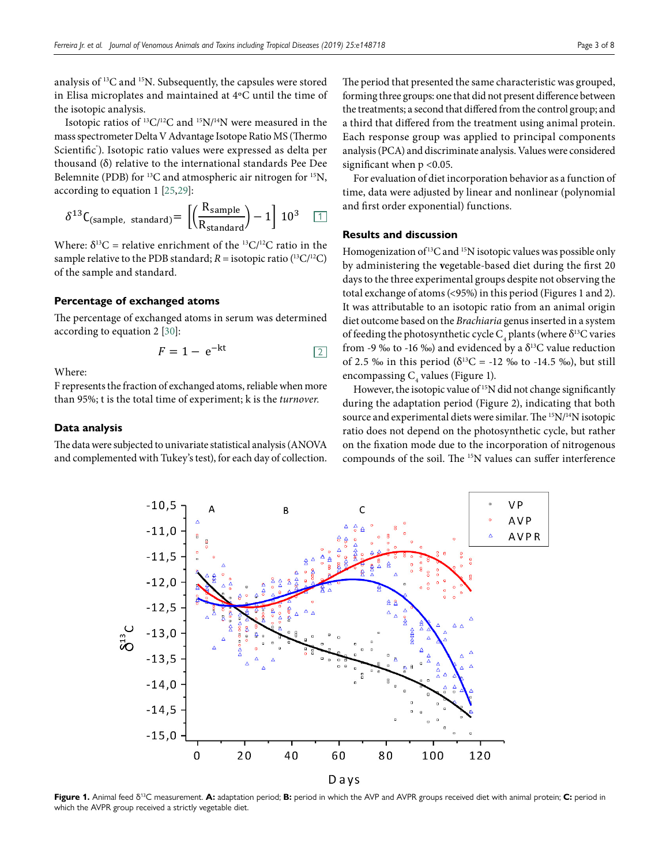analysis of 13C and 15N. Subsequently, the capsules were stored in Elisa microplates and maintained at 4ºC until the time of the isotopic analysis.

Isotopic ratios of  ${}^{13}C/{}^{12}C$  and  ${}^{15}N/{}^{14}N$  were measured in the mass spectrometer Delta V Advantage Isotope Ratio MS (Thermo Scientific® ). Isotopic ratio values were expressed as delta per thousand (δ) relative to the international standards Pee Dee Belemnite (PDB) for <sup>13</sup>C and atmospheric air nitrogen for <sup>15</sup>N, according to equation 1 [\[25](#page-6-22)[,29\]](#page-7-1):

$$
\delta^{13} \text{C}_{\text{(sample, standard)}} = \left[ \left( \frac{\text{R}_{\text{sample}}}{\text{R}_{\text{standard}}} \right) - 1 \right] \, 10^3 \quad \boxed{1}
$$

Where:  $\delta^{13}C$  = relative enrichment of the <sup>13</sup>C/<sup>12</sup>C ratio in the sample relative to the PDB standard;  $R =$  isotopic ratio  $(^{13}C/^{12}C)$ of the sample and standard.

## **Percentage of exchanged atoms**

The percentage of exchanged atoms in serum was determined according to equation 2 [\[30\]](#page-7-2):

$$
F = 1 - e^{-kt} \tag{2}
$$

Where:

F represents the fraction of exchanged atoms, reliable when more than 95%; t is the total time of experiment; k is the *turnover.*

## **Data analysis**

The data were subjected to univariate statistical analysis (ANOVA and complemented with Tukey's test), for each day of collection.

The period that presented the same characteristic was grouped, forming three groups: one that did not present difference between the treatments; a second that differed from the control group; and a third that differed from the treatment using animal protein. Each response group was applied to principal components analysis (PCA) and discriminate analysis. Values were considered significant when  $p < 0.05$ .

For evaluation of diet incorporation behavior as a function of time, data were adjusted by linear and nonlinear (polynomial and first order exponential) functions.

#### **Results and discussion**

Homogenization of<sup>13</sup>C and <sup>15</sup>N isotopic values was possible only by administering the **v**egetable-based diet during the first 20 days to the three experimental groups despite not observing the total exchange of atoms (<95%) in this period (Figures 1 and 2). It was attributable to an isotopic ratio from an animal origin diet outcome based on the *Brachiaria* genus inserted in a system of feeding the photosynthetic cycle  $\mathrm{C}_4$  plants (where  $\delta^{13}\mathrm{C}$  varies from -9 ‰ to -16 ‰) and evidenced by a  $\delta^{13}$ C value reduction of 2.5 ‰ in this period ( $\delta^{13}C = -12$  ‰ to -14.5 ‰), but still encompassing  $C_4$  values (Figure 1).

However, the isotopic value of <sup>15</sup>N did not change significantly during the adaptation period (Figure 2), indicating that both source and experimental diets were similar. The <sup>15</sup>N/<sup>14</sup>N isotopic ratio does not depend on the photosynthetic cycle, but rather on the fixation mode due to the incorporation of nitrogenous compounds of the soil. The 15N values can suffer interference



**Figure 1.** Animal feed δ13C measurement. **A:** adaptation period; **B:** period in which the AVP and AVPR groups received diet with animal protein; **C:** period in which the AVPR group received a strictly vegetable diet.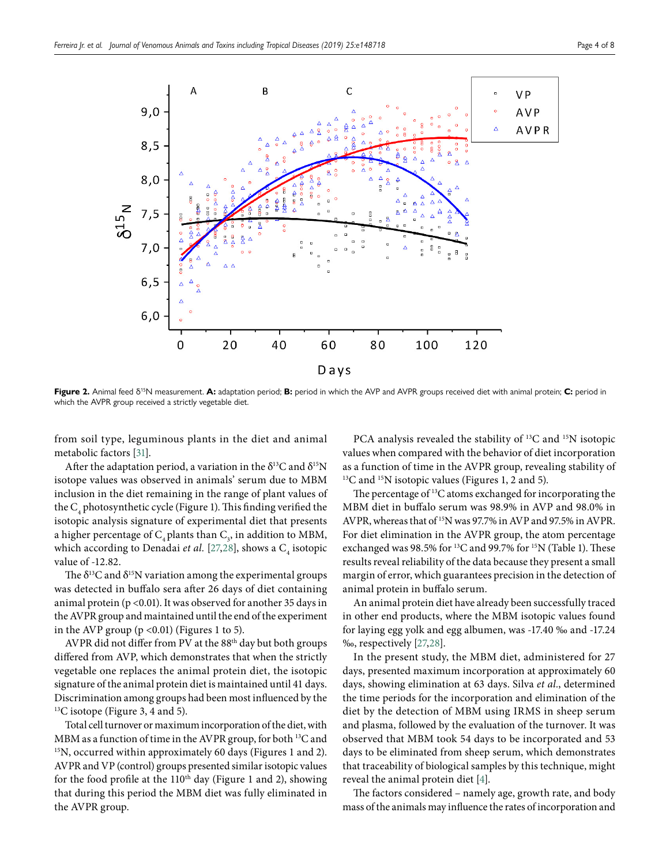

**Figure 2.** Animal feed δ15N measurement. **A:** adaptation period; **B:** period in which the AVP and AVPR groups received diet with animal protein; **C:** period in which the AVPR group received a strictly vegetable diet.

from soil type, leguminous plants in the diet and animal metabolic factors [\[31\]](#page-7-3).

After the adaptation period, a variation in the  $\delta^{13}C$  and  $\delta^{15}N$ isotope values was observed in animals' serum due to MBM inclusion in the diet remaining in the range of plant values of the  $\mathrm C^{}_4$  photosynthetic cycle (Figure 1). This finding verified the isotopic analysis signature of experimental diet that presents a higher percentage of  $\mathrm{C}_4$ plants than  $\mathrm{C}_3$ , in addition to MBM, which according to Denadai *et al*. [\[27](#page-6-21),[28](#page-7-0)], shows a C<sub>4</sub> isotopic value of -12.82.

The  $\delta^{13}$ C and  $\delta^{15}$ N variation among the experimental groups was detected in buffalo sera after 26 days of diet containing animal protein (p < 0.01). It was observed for another 35 days in the AVPR group and maintained until the end of the experiment in the AVP group  $(p \le 0.01)$  (Figures 1 to 5).

AVPR did not differ from PV at the 88<sup>th</sup> day but both groups differed from AVP, which demonstrates that when the strictly vegetable one replaces the animal protein diet, the isotopic signature of the animal protein diet is maintained until 41 days. Discrimination among groups had been most influenced by the <sup>13</sup>C isotope (Figure 3, 4 and 5).

Total cell turnover or maximum incorporation of the diet, with MBM as a function of time in the AVPR group, for both <sup>13</sup>C and <sup>15</sup>N, occurred within approximately 60 days (Figures 1 and 2). AVPR and VP (control) groups presented similar isotopic values for the food profile at the  $110<sup>th</sup>$  day (Figure 1 and 2), showing that during this period the MBM diet was fully eliminated in the AVPR group.

PCA analysis revealed the stability of <sup>13</sup>C and <sup>15</sup>N isotopic values when compared with the behavior of diet incorporation as a function of time in the AVPR group, revealing stability of <sup>13</sup>C and <sup>15</sup>N isotopic values (Figures 1, 2 and 5).

The percentage of <sup>13</sup>C atoms exchanged for incorporating the MBM diet in buffalo serum was 98.9% in AVP and 98.0% in AVPR, whereas that of 15N was 97.7% in AVP and 97.5% in AVPR. For diet elimination in the AVPR group, the atom percentage exchanged was 98.5% for <sup>13</sup>C and 99.7% for <sup>15</sup>N (Table 1). These results reveal reliability of the data because they present a small margin of error, which guarantees precision in the detection of animal protein in buffalo serum.

An animal protein diet have already been successfully traced in other end products, where the MBM isotopic values found for laying egg yolk and egg albumen, was -17.40 ‰ and -17.24 ‰, respectively [\[27](#page-6-21),[28\]](#page-7-0).

In the present study, the MBM diet, administered for 27 days, presented maximum incorporation at approximately 60 days, showing elimination at 63 days. Silva *et al.*, determined the time periods for the incorporation and elimination of the diet by the detection of MBM using IRMS in sheep serum and plasma, followed by the evaluation of the turnover. It was observed that MBM took 54 days to be incorporated and 53 days to be eliminated from sheep serum, which demonstrates that traceability of biological samples by this technique, might reveal the animal protein diet [\[4\]](#page-6-1).

The factors considered – namely age, growth rate, and body mass of the animals may influence the rates of incorporation and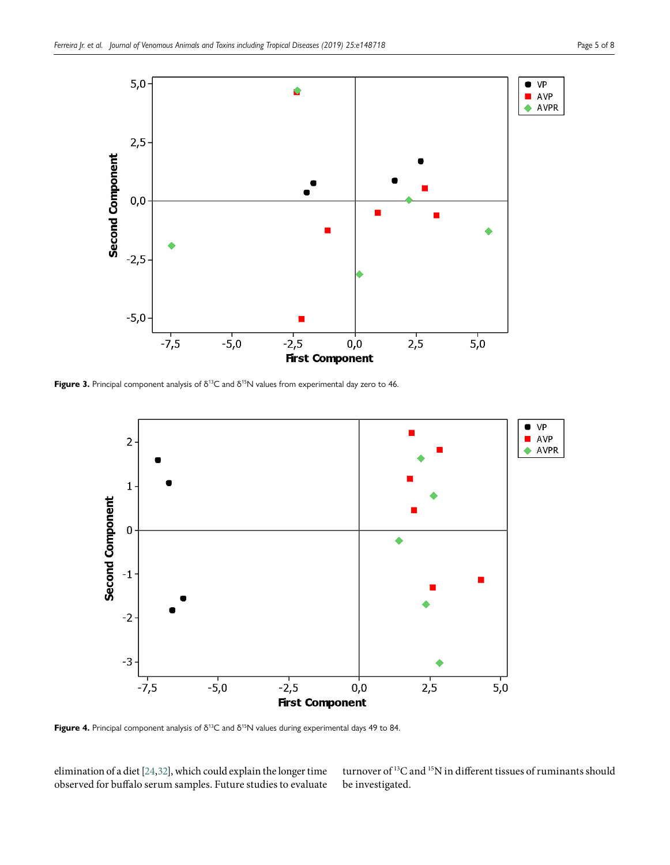

Figure 3. Principal component analysis of δ<sup>13</sup>C and δ<sup>15</sup>N values from experimental day zero to 46.



Figure 4. Principal component analysis of δ<sup>13</sup>C and δ<sup>15</sup>N values during experimental days 49 to 84.

elimination of a diet [\[24,](#page-6-23)[32](#page-7-4)], which could explain the longer time observed for buffalo serum samples. Future studies to evaluate turnover of 13C and 15N in different tissues of ruminants should be investigated.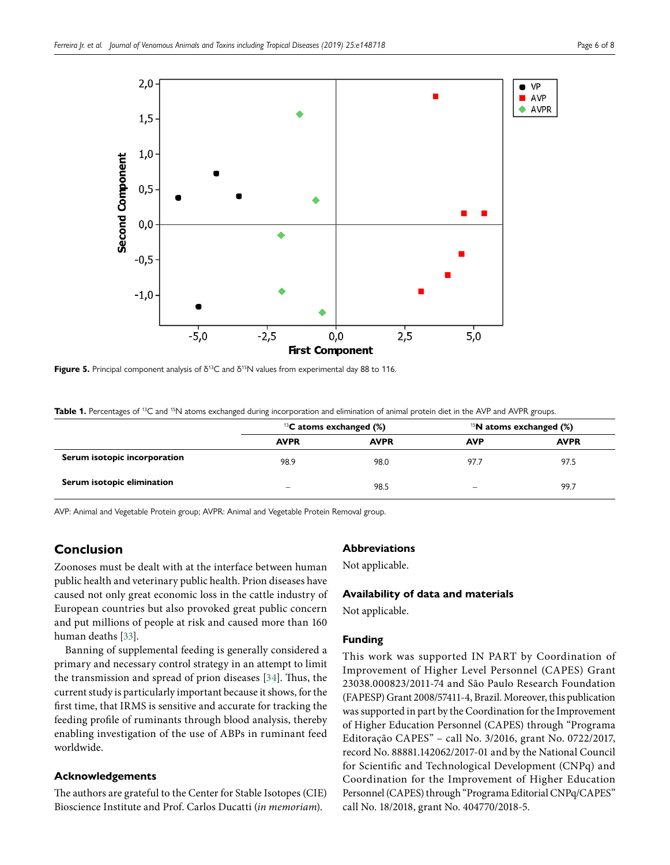

**Figure 5.** Principal component analysis of δ<sup>13</sup>C and δ<sup>15</sup>N values from experimental day 88 to 116.

Table 1. Percentages of <sup>13</sup>C and <sup>15</sup>N atoms exchanged during incorporation and elimination of animal protein diet in the AVP and AVPR groups.

|                              | <sup>13</sup> C atoms exchanged $(\%)$ |             | <sup>15</sup> N atoms exchanged $(\%)$ |             |
|------------------------------|----------------------------------------|-------------|----------------------------------------|-------------|
|                              | <b>AVPR</b>                            | <b>AVPR</b> | <b>AVP</b>                             | <b>AVPR</b> |
| Serum isotopic incorporation | 98.9                                   | 98.0        | 97.7                                   | 97.5        |
| Serum isotopic elimination   | -                                      | 98.5        | -                                      | 99.7        |

AVP: Animal and Vegetable Protein group; AVPR: Animal and Vegetable Protein Removal group.

# **Conclusion**

Zoonoses must be dealt with at the interface between human public health and veterinary public health. Prion diseases have caused not only great economic loss in the cattle industry of European countries but also provoked great public concern and put millions of people at risk and caused more than 160 human deaths [\[33\]](#page-7-5).

Banning of supplemental feeding is generally considered a primary and necessary control strategy in an attempt to limit the transmission and spread of prion diseases [\[34\]](#page-7-6). Thus, the current study is particularly important because it shows, for the first time, that IRMS is sensitive and accurate for tracking the feeding profile of ruminants through blood analysis, thereby enabling investigation of the use of ABPs in ruminant feed worldwide.

## **Acknowledgements**

The authors are grateful to the Center for Stable Isotopes (CIE) Bioscience Institute and Prof. Carlos Ducatti (*in memoriam*).

## **Abbreviations**

Not applicable.

## **Availability of data and materials**

Not applicable.

## **Funding**

This work was supported IN PART by Coordination of Improvement of Higher Level Personnel (CAPES) Grant 23038.000823/2011-74 and São Paulo Research Foundation (FAPESP) Grant 2008/57411-4, Brazil. Moreover, this publication was supported in part by the Coordination for the Improvement of Higher Education Personnel (CAPES) through "Programa Editoração CAPES" – call No. 3/2016, grant No. 0722/2017, record No. 88881.142062/2017-01 and by the National Council for Scientific and Technological Development (CNPq) and Coordination for the Improvement of Higher Education Personnel (CAPES) through "Programa Editorial CNPq/CAPES" call No. 18/2018, grant No. 404770/2018-5.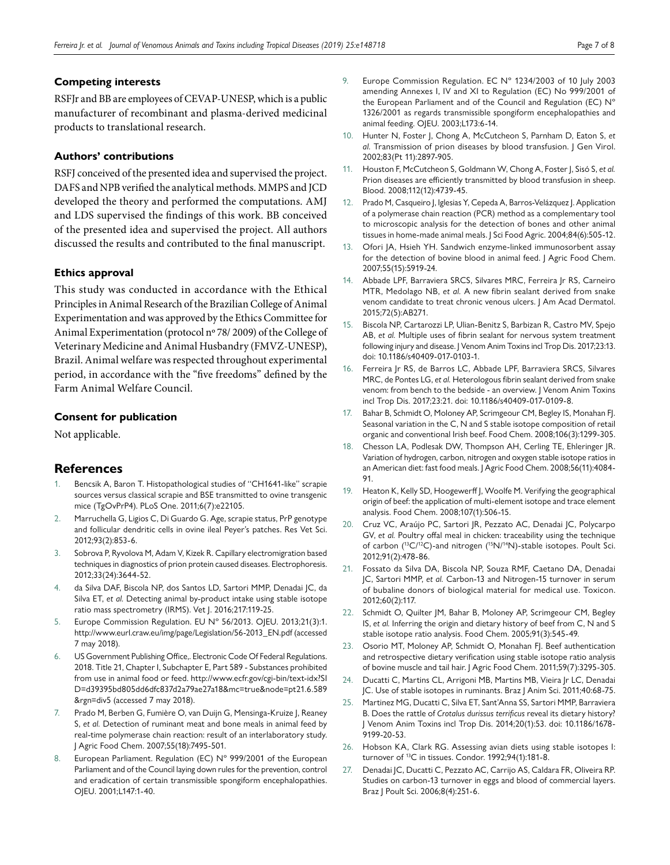## **Competing interests**

RSFJr and BB are employees of CEVAP-UNESP, which is a public manufacturer of recombinant and plasma‐derived medicinal products to translational research.

## **Authors' contributions**

RSFJ conceived of the presented idea and supervised the project. DAFS and NPB verified the analytical methods. MMPS and JCD developed the theory and performed the computations. AMJ and LDS supervised the findings of this work. BB conceived of the presented idea and supervised the project. All authors discussed the results and contributed to the final manuscript.

## **Ethics approval**

This study was conducted in accordance with the Ethical Principles in Animal Research of the Brazilian College of Animal Experimentation and was approved by the Ethics Committee for Animal Experimentation (protocol nº 78/ 2009) of the College of Veterinary Medicine and Animal Husbandry (FMVZ-UNESP), Brazil. Animal welfare was respected throughout experimental period, in accordance with the "five freedoms" defined by the Farm Animal Welfare Council.

## **Consent for publication**

Not applicable.

# **References**

- <span id="page-6-0"></span>Bencsik A, Baron T. Histopathological studies of "CH1641-like" scrapie sources versus classical scrapie and BSE transmitted to ovine transgenic mice (TgOvPrP4). PLoS One. 2011;6(7):e22105.
- 2. Marruchella G, Ligios C, Di Guardo G. Age, scrapie status, PrP genotype and follicular dendritic cells in ovine ileal Peyer's patches. Res Vet Sci. 2012;93(2):853-6.
- <span id="page-6-9"></span>3. Sobrova P, Ryvolova M, Adam V, Kizek R. Capillary electromigration based techniques in diagnostics of prion protein caused diseases. Electrophoresis. 2012;33(24):3644-52.
- <span id="page-6-1"></span>4. da Silva DAF, Biscola NP, dos Santos LD, Sartori MMP, Denadai JC, da Silva ET, *et al.* Detecting animal by-product intake using stable isotope ratio mass spectrometry (IRMS). Vet J. 2016;217:119-25.
- <span id="page-6-2"></span>Europe Commission Regulation. EU Nº 56/2013. OJEU. 2013;21(3):1. [http://www.eurl.craw.eu/img/page/Legislation/56-2013\\_EN.pdf](http://www.eurl.craw.eu/img/page/Legislation/56-2013_EN.pdf) (accessed 7 may 2018).
- <span id="page-6-3"></span>6. US Government Publishing Office,. Electronic Code Of Federal Regulations. 2018. Title 21, Chapter I, Subchapter E, Part 589 - Substances prohibited from use in animal food or feed. [http://www.ecfr.gov/cgi-bin/text-idx?SI](http://www.ecfr.gov/cgi-bin/text-idx?SID=d39395bd805dd6dfc837d2a79ae27a18&mc=true&node=pt21.6.589&rgn=div5) [D=d39395bd805dd6dfc837d2a79ae27a18&mc=true&node=pt21.6.589](http://www.ecfr.gov/cgi-bin/text-idx?SID=d39395bd805dd6dfc837d2a79ae27a18&mc=true&node=pt21.6.589&rgn=div5) [&rgn=div5](http://www.ecfr.gov/cgi-bin/text-idx?SID=d39395bd805dd6dfc837d2a79ae27a18&mc=true&node=pt21.6.589&rgn=div5) (accessed 7 may 2018).
- <span id="page-6-4"></span>Prado M, Berben G, Fumière O, van Duijn G, Mensinga-Kruize J, Reaney S, *et al.* Detection of ruminant meat and bone meals in animal feed by real-time polymerase chain reaction: result of an interlaboratory study. J Agric Food Chem. 2007;55(18):7495-501.
- <span id="page-6-5"></span>European Parliament. Regulation (EC) N° 999/2001 of the European Parliament and of the Council laying down rules for the prevention, control and eradication of certain transmissible spongiform encephalopathies. OJEU. 2001;L147:1-40.
- <span id="page-6-6"></span>9. Europe Commission Regulation. EC N° 1234/2003 of 10 July 2003 amending Annexes I, IV and XI to Regulation (EC) No 999/2001 of the European Parliament and of the Council and Regulation (EC) Nº 1326/2001 as regards transmissible spongiform encephalopathies and animal feeding. OJEU. 2003;L173:6-14.
- <span id="page-6-7"></span>10. Hunter N, Foster J, Chong A, McCutcheon S, Parnham D, Eaton S, *et al.* Transmission of prion diseases by blood transfusion. J Gen Virol. 2002;83(Pt 11):2897-905.
- <span id="page-6-8"></span>11. Houston F, McCutcheon S, Goldmann W, Chong A, Foster J, Sisó S, *et al.* Prion diseases are efficiently transmitted by blood transfusion in sheep. Blood. 2008;112(12):4739-45.
- <span id="page-6-10"></span>12. Prado M, Casqueiro J, Iglesias Y, Cepeda A, Barros-Velázquez J. Application of a polymerase chain reaction (PCR) method as a complementary tool to microscopic analysis for the detection of bones and other animal tissues in home-made animal meals. J Sci Food Agric. 2004;84(6):505-12.
- <span id="page-6-11"></span>13. Ofori JA, Hsieh YH. Sandwich enzyme-linked immunosorbent assay for the detection of bovine blood in animal feed. J Agric Food Chem. 2007;55(15):5919-24.
- <span id="page-6-12"></span>14. Abbade LPF, Barraviera SRCS, Silvares MRC, Ferreira Jr RS, Carneiro MTR, Medolago NB, *et al.* A new fibrin sealant derived from snake venom candidate to treat chronic venous ulcers. J Am Acad Dermatol. 2015;72(5):AB271.
- 15. Biscola NP, Cartarozzi LP, Ulian-Benitz S, Barbizan R, Castro MV, Spejo AB, *et al.* Multiple uses of fibrin sealant for nervous system treatment following injury and disease. J Venom Anim Toxins incl Trop Dis. 2017;23:13. doi: 10.1186/s40409-017-0103-1.
- <span id="page-6-13"></span>16. Ferreira Jr RS, de Barros LC, Abbade LPF, Barraviera SRCS, Silvares MRC, de Pontes LG, *et al.* Heterologous fibrin sealant derived from snake venom: from bench to the bedside - an overview. J Venom Anim Toxins incl Trop Dis. 2017;23:21. doi: 10.1186/s40409-017-0109-8.
- <span id="page-6-14"></span>17. Bahar B, Schmidt O, Moloney AP, Scrimgeour CM, Begley IS, Monahan FJ. Seasonal variation in the C, N and S stable isotope composition of retail organic and conventional Irish beef. Food Chem. 2008;106(3):1299-305.
- Chesson LA, Podlesak DW, Thompson AH, Cerling TE, Ehleringer JR. Variation of hydrogen, carbon, nitrogen and oxygen stable isotope ratios in an American diet: fast food meals. J Agric Food Chem. 2008;56(11):4084- 91.
- <span id="page-6-15"></span>19. Heaton K, Kelly SD, Hoogewerff J, Woolfe M. Verifying the geographical origin of beef: the application of multi-element isotope and trace element analysis. Food Chem. 2008;107(1):506-15.
- <span id="page-6-16"></span>20. Cruz VC, Araújo PC, Sartori JR, Pezzato AC, Denadai JC, Polycarpo GV, *et al.* Poultry offal meal in chicken: traceability using the technique of carbon (13C/12C)-and nitrogen (15N/14N)-stable isotopes. Poult Sci. 2012;91(2):478-86.
- <span id="page-6-17"></span>21. Fossato da Silva DA, Biscola NP, Souza RMF, Caetano DA, Denadai JC, Sartori MMP, *et al.* Carbon-13 and Nitrogen-15 turnover in serum of bubaline donors of biological material for medical use. Toxicon. 2012;60(2):117.
- <span id="page-6-18"></span>22. Schmidt O, Quilter JM, Bahar B, Moloney AP, Scrimgeour CM, Begley IS, *et al.* Inferring the origin and dietary history of beef from C, N and S stable isotope ratio analysis. Food Chem. 2005;91(3):545-49.
- <span id="page-6-19"></span>23. Osorio MT, Moloney AP, Schmidt O, Monahan FJ. Beef authentication and retrospective dietary verification using stable isotope ratio analysis of bovine muscle and tail hair. J Agric Food Chem. 2011;59(7):3295-305.
- <span id="page-6-23"></span>24. Ducatti C, Martins CL, Arrigoni MB, Martins MB, Vieira Jr LC, Denadai JC. Use of stable isotopes in ruminants. Braz J Anim Sci. 2011;40:68-75.
- <span id="page-6-22"></span>25. Martinez MG, Ducatti C, Silva ET, Sant'Anna SS, Sartori MMP, Barraviera B. Does the rattle of *Crotalus durissus terrificus* reveal its dietary history? J Venom Anim Toxins incl Trop Dis. 2014;20(1):53. doi: 10.1186/1678- 9199-20-53.
- <span id="page-6-20"></span>26. Hobson KA, Clark RG. Assessing avian diets using stable isotopes I: turnover of 13C in tissues. Condor. 1992;94(1):181-8.
- <span id="page-6-21"></span>27. Denadai JC, Ducatti C, Pezzato AC, Carrijo AS, Caldara FR, Oliveira RP. Studies on carbon-13 turnover in eggs and blood of commercial layers. Braz J Poult Sci. 2006;8(4):251-6.